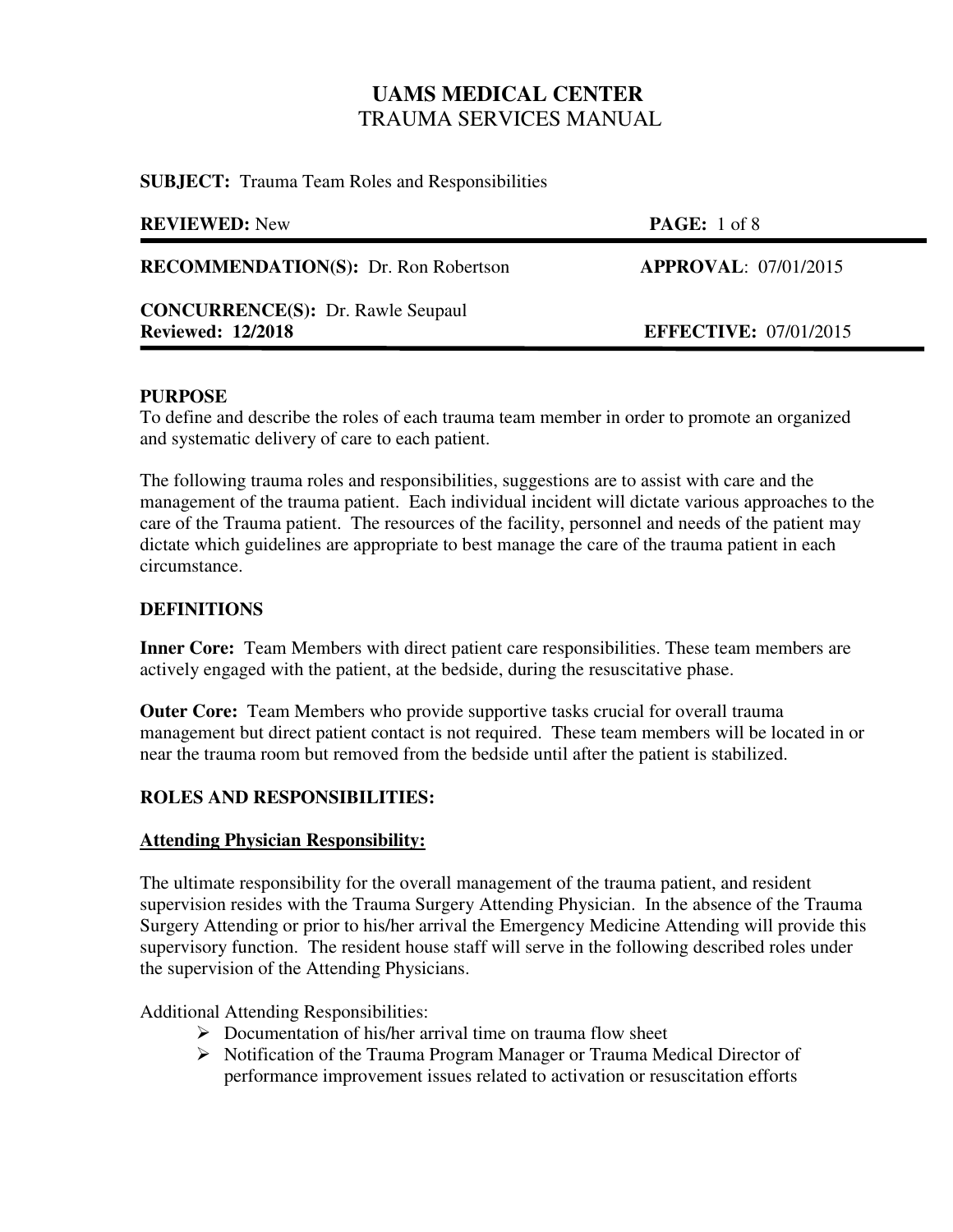**SUBJECT:** Trauma Team Roles and Responsibilities

| <b>REVIEWED:</b> New                                                 | <b>PAGE:</b> 1 of 8          |
|----------------------------------------------------------------------|------------------------------|
| <b>RECOMMENDATION(S):</b> Dr. Ron Robertson                          | <b>APPROVAL: 07/01/2015</b>  |
| <b>CONCURRENCE(S):</b> Dr. Rawle Seupaul<br><b>Reviewed: 12/2018</b> | <b>EFFECTIVE: 07/01/2015</b> |
|                                                                      |                              |

### **PURPOSE**

To define and describe the roles of each trauma team member in order to promote an organized and systematic delivery of care to each patient.

The following trauma roles and responsibilities, suggestions are to assist with care and the management of the trauma patient. Each individual incident will dictate various approaches to the care of the Trauma patient. The resources of the facility, personnel and needs of the patient may dictate which guidelines are appropriate to best manage the care of the trauma patient in each circumstance.

## **DEFINITIONS**

**Inner Core:** Team Members with direct patient care responsibilities. These team members are actively engaged with the patient, at the bedside, during the resuscitative phase.

**Outer Core:** Team Members who provide supportive tasks crucial for overall trauma management but direct patient contact is not required. These team members will be located in or near the trauma room but removed from the bedside until after the patient is stabilized.

## **ROLES AND RESPONSIBILITIES:**

## **Attending Physician Responsibility:**

The ultimate responsibility for the overall management of the trauma patient, and resident supervision resides with the Trauma Surgery Attending Physician. In the absence of the Trauma Surgery Attending or prior to his/her arrival the Emergency Medicine Attending will provide this supervisory function. The resident house staff will serve in the following described roles under the supervision of the Attending Physicians.

Additional Attending Responsibilities:

- $\triangleright$  Documentation of his/her arrival time on trauma flow sheet
- Notification of the Trauma Program Manager or Trauma Medical Director of performance improvement issues related to activation or resuscitation efforts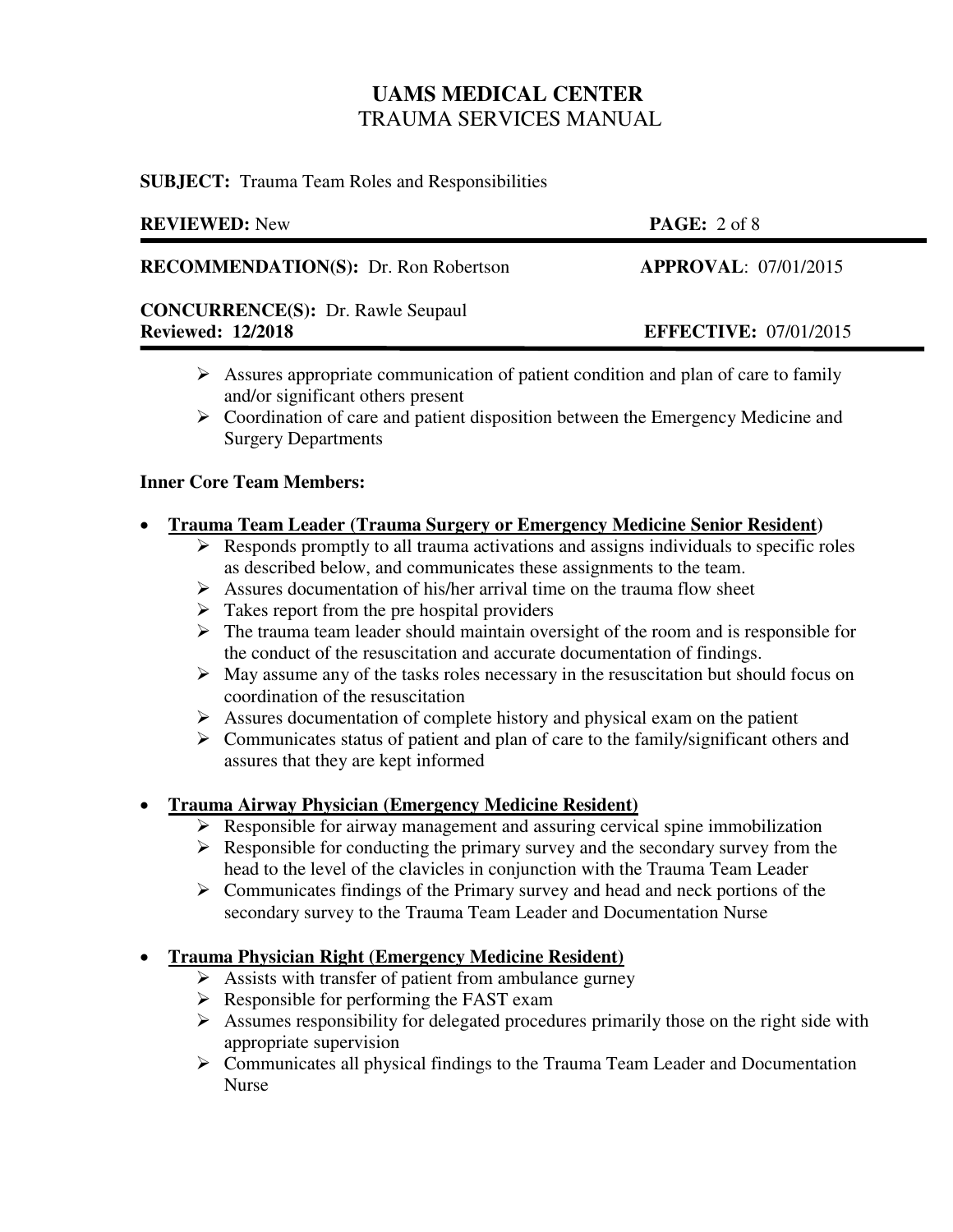**SUBJECT:** Trauma Team Roles and Responsibilities

| <b>REVIEWED:</b> New                                                 | PAGE: 2 of 8                 |
|----------------------------------------------------------------------|------------------------------|
| <b>RECOMMENDATION(S):</b> Dr. Ron Robertson                          | <b>APPROVAL: 07/01/2015</b>  |
| <b>CONCURRENCE(S): Dr. Rawle Seupaul</b><br><b>Reviewed: 12/2018</b> | <b>EFFECTIVE: 07/01/2015</b> |

- $\triangleright$  Assures appropriate communication of patient condition and plan of care to family and/or significant others present
- Coordination of care and patient disposition between the Emergency Medicine and Surgery Departments

### **Inner Core Team Members:**

### **Trauma Team Leader (Trauma Surgery or Emergency Medicine Senior Resident)**

- $\triangleright$  Responds promptly to all trauma activations and assigns individuals to specific roles as described below, and communicates these assignments to the team.
- $\triangleright$  Assures documentation of his/her arrival time on the trauma flow sheet
- $\triangleright$  Takes report from the pre hospital providers
- $\triangleright$  The trauma team leader should maintain oversight of the room and is responsible for the conduct of the resuscitation and accurate documentation of findings.
- $\triangleright$  May assume any of the tasks roles necessary in the resuscitation but should focus on coordination of the resuscitation
- $\triangleright$  Assures documentation of complete history and physical exam on the patient
- $\triangleright$  Communicates status of patient and plan of care to the family/significant others and assures that they are kept informed

## **Trauma Airway Physician (Emergency Medicine Resident)**

- $\triangleright$  Responsible for airway management and assuring cervical spine immobilization
- $\triangleright$  Responsible for conducting the primary survey and the secondary survey from the head to the level of the clavicles in conjunction with the Trauma Team Leader
- $\triangleright$  Communicates findings of the Primary survey and head and neck portions of the secondary survey to the Trauma Team Leader and Documentation Nurse

## **Trauma Physician Right (Emergency Medicine Resident)**

- $\triangleright$  Assists with transfer of patient from ambulance gurney
- $\triangleright$  Responsible for performing the FAST exam
- $\triangleright$  Assumes responsibility for delegated procedures primarily those on the right side with appropriate supervision
- Communicates all physical findings to the Trauma Team Leader and Documentation Nurse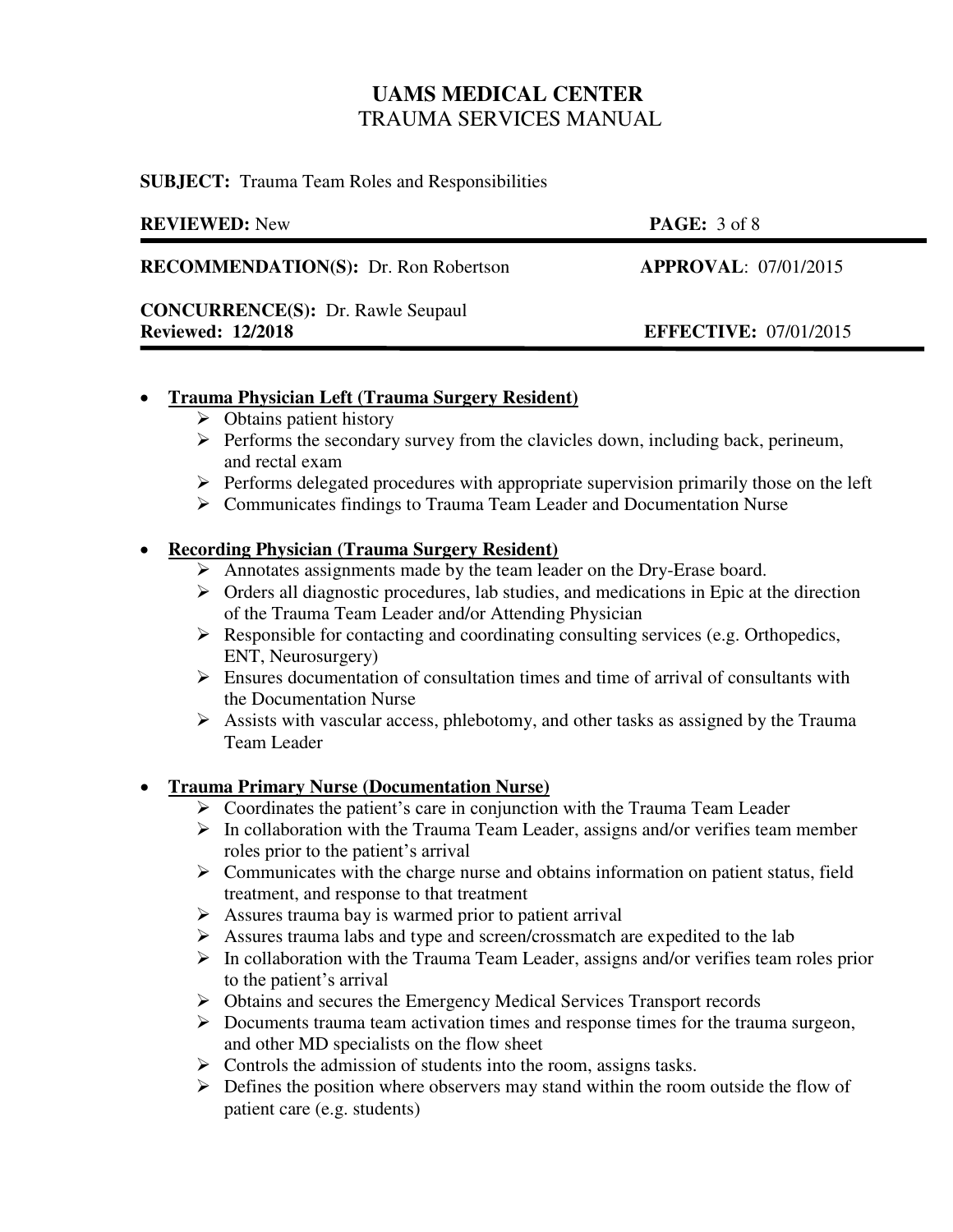**SUBJECT:** Trauma Team Roles and Responsibilities

| <b>REVIEWED:</b> New                        | <b>PAGE:</b> $3 \text{ of } 8$ |
|---------------------------------------------|--------------------------------|
| <b>RECOMMENDATION(S):</b> Dr. Ron Robertson | <b>APPROVAL: 07/01/2015</b>    |
| <b>CONCURRENCE(S):</b> Dr. Rawle Seupaul    |                                |
| <b>Reviewed: 12/2018</b>                    | <b>EFFECTIVE: 07/01/2015</b>   |
|                                             |                                |

### **Trauma Physician Left (Trauma Surgery Resident)**

- $\triangleright$  Obtains patient history
- $\triangleright$  Performs the secondary survey from the clavicles down, including back, perineum, and rectal exam
- $\triangleright$  Performs delegated procedures with appropriate supervision primarily those on the left
- Communicates findings to Trauma Team Leader and Documentation Nurse

## **Recording Physician (Trauma Surgery Resident)**

- Annotates assignments made by the team leader on the Dry-Erase board.
- $\triangleright$  Orders all diagnostic procedures, lab studies, and medications in Epic at the direction of the Trauma Team Leader and/or Attending Physician
- $\triangleright$  Responsible for contacting and coordinating consulting services (e.g. Orthopedics, ENT, Neurosurgery)
- $\triangleright$  Ensures documentation of consultation times and time of arrival of consultants with the Documentation Nurse
- $\triangleright$  Assists with vascular access, phlebotomy, and other tasks as assigned by the Trauma Team Leader

## **Trauma Primary Nurse (Documentation Nurse)**

- $\triangleright$  Coordinates the patient's care in conjunction with the Trauma Team Leader
- $\triangleright$  In collaboration with the Trauma Team Leader, assigns and/or verifies team member roles prior to the patient's arrival
- $\triangleright$  Communicates with the charge nurse and obtains information on patient status, field treatment, and response to that treatment
- $\triangleright$  Assures trauma bay is warmed prior to patient arrival
- $\triangleright$  Assures trauma labs and type and screen/crossmatch are expedited to the lab
- $\triangleright$  In collaboration with the Trauma Team Leader, assigns and/or verifies team roles prior to the patient's arrival
- Obtains and secures the Emergency Medical Services Transport records
- $\triangleright$  Documents trauma team activation times and response times for the trauma surgeon, and other MD specialists on the flow sheet
- $\triangleright$  Controls the admission of students into the room, assigns tasks.
- $\triangleright$  Defines the position where observers may stand within the room outside the flow of patient care (e.g. students)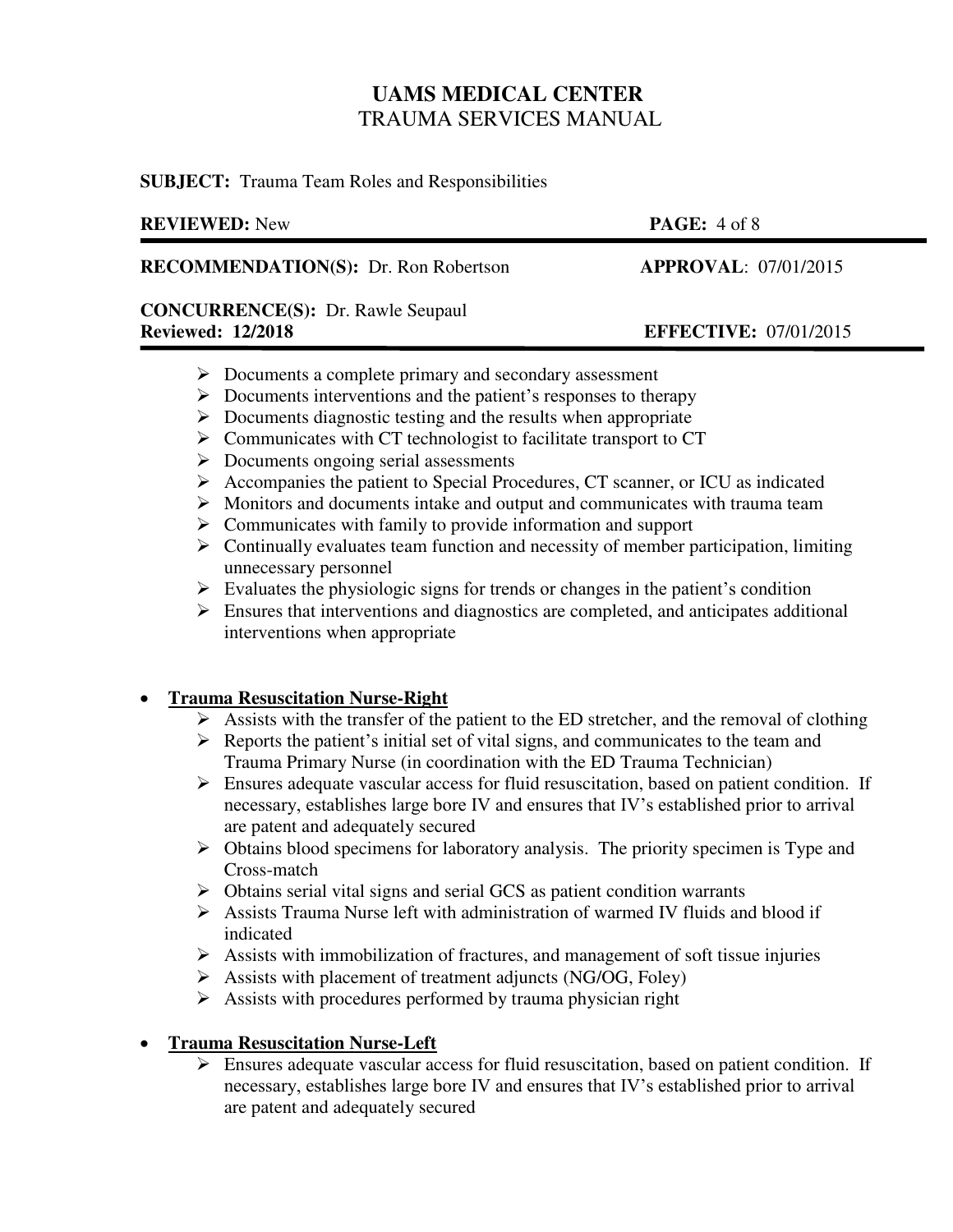**SUBJECT:** Trauma Team Roles and Responsibilities

| <b>REVIEWED:</b> New                                                 | <b>PAGE:</b> $4 \text{ of } 8$ |
|----------------------------------------------------------------------|--------------------------------|
| <b>RECOMMENDATION(S):</b> Dr. Ron Robertson                          | <b>APPROVAL: 07/01/2015</b>    |
| <b>CONCURRENCE(S): Dr. Rawle Seupaul</b><br><b>Reviewed: 12/2018</b> | <b>EFFECTIVE: 07/01/2015</b>   |
|                                                                      |                                |

- $\triangleright$  Documents a complete primary and secondary assessment
- $\triangleright$  Documents interventions and the patient's responses to therapy
- $\triangleright$  Documents diagnostic testing and the results when appropriate
- $\triangleright$  Communicates with CT technologist to facilitate transport to CT
- $\triangleright$  Documents ongoing serial assessments
- $\triangleright$  Accompanies the patient to Special Procedures, CT scanner, or ICU as indicated
- $\triangleright$  Monitors and documents intake and output and communicates with trauma team
- $\triangleright$  Communicates with family to provide information and support
- $\triangleright$  Continually evaluates team function and necessity of member participation, limiting unnecessary personnel
- $\triangleright$  Evaluates the physiologic signs for trends or changes in the patient's condition
- $\triangleright$  Ensures that interventions and diagnostics are completed, and anticipates additional interventions when appropriate

## **Trauma Resuscitation Nurse-Right**

- $\triangleright$  Assists with the transfer of the patient to the ED stretcher, and the removal of clothing
- $\triangleright$  Reports the patient's initial set of vital signs, and communicates to the team and Trauma Primary Nurse (in coordination with the ED Trauma Technician)
- $\triangleright$  Ensures adequate vascular access for fluid resuscitation, based on patient condition. If necessary, establishes large bore IV and ensures that IV's established prior to arrival are patent and adequately secured
- $\triangleright$  Obtains blood specimens for laboratory analysis. The priority specimen is Type and Cross-match
- $\triangleright$  Obtains serial vital signs and serial GCS as patient condition warrants
- $\triangleright$  Assists Trauma Nurse left with administration of warmed IV fluids and blood if indicated
- $\triangleright$  Assists with immobilization of fractures, and management of soft tissue injuries
- $\triangleright$  Assists with placement of treatment adjuncts (NG/OG, Foley)
- $\triangleright$  Assists with procedures performed by trauma physician right

## **Trauma Resuscitation Nurse-Left**

 Ensures adequate vascular access for fluid resuscitation, based on patient condition. If necessary, establishes large bore IV and ensures that IV's established prior to arrival are patent and adequately secured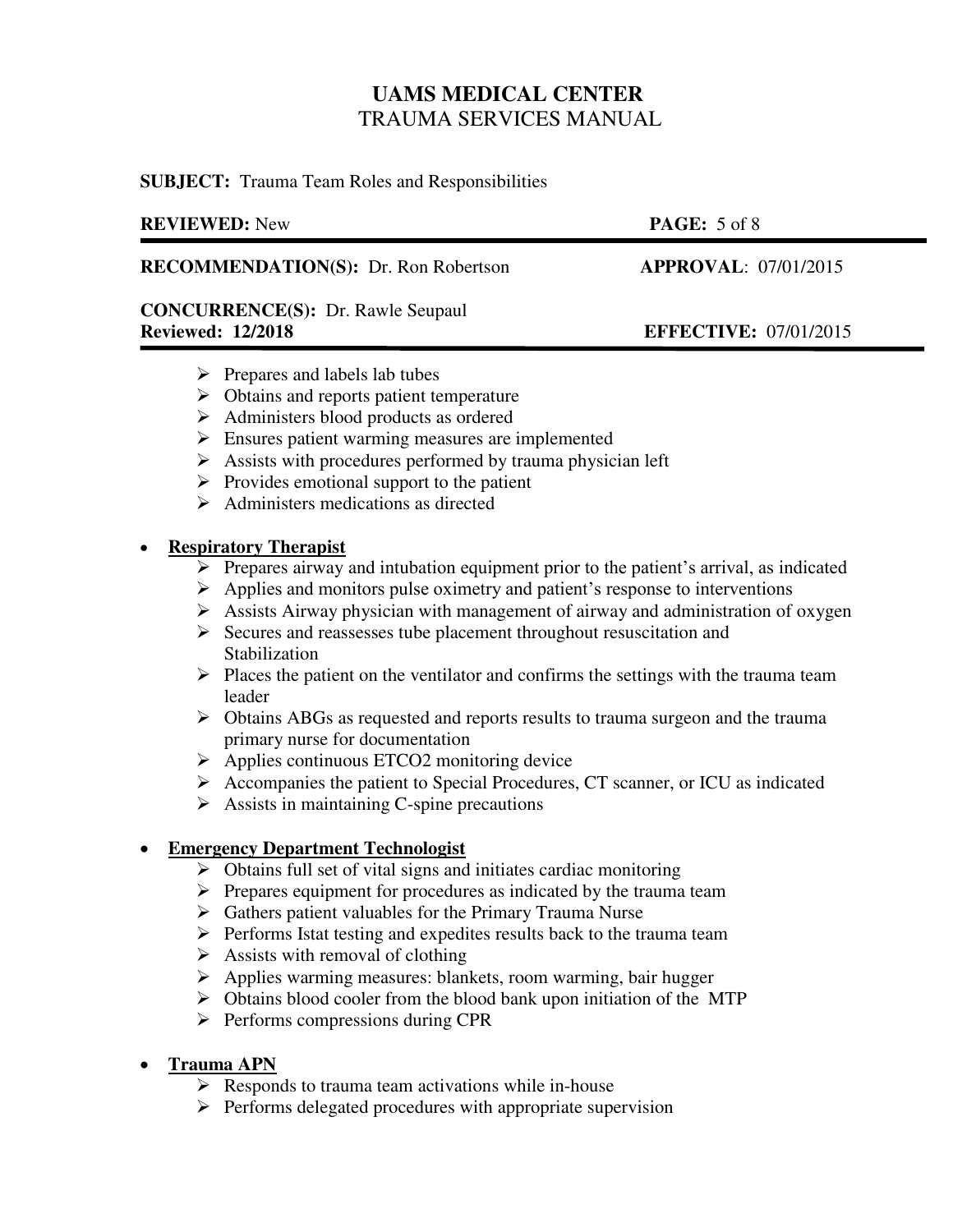**SUBJECT:** Trauma Team Roles and Responsibilities

### **REVIEWED:** New **PAGE:** 5 of 8

**RECOMMENDATION(S):** Dr. Ron Robertson **APPROVAL**: 07/01/2015

## **CONCURRENCE(S):** Dr. Rawle Seupaul **Reviewed: 12/2018 EFFECTIVE:** 07/01/2015

- $\triangleright$  Prepares and labels lab tubes
- $\triangleright$  Obtains and reports patient temperature
- Administers blood products as ordered
- **Ensures patient warming measures are implemented**
- $\triangleright$  Assists with procedures performed by trauma physician left
- $\triangleright$  Provides emotional support to the patient
- $\triangleright$  Administers medications as directed

### **Respiratory Therapist**

ׇ֡֬֡

- $\triangleright$  Prepares airway and intubation equipment prior to the patient's arrival, as indicated
- $\triangleright$  Applies and monitors pulse oximetry and patient's response to interventions
- $\triangleright$  Assists Airway physician with management of airway and administration of oxygen
- $\triangleright$  Secures and reassesses tube placement throughout resuscitation and **Stabilization**
- $\triangleright$  Places the patient on the ventilator and confirms the settings with the trauma team leader
- Obtains ABGs as requested and reports results to trauma surgeon and the trauma primary nurse for documentation
- $\triangleright$  Applies continuous ETCO2 monitoring device
- $\triangleright$  Accompanies the patient to Special Procedures, CT scanner, or ICU as indicated
- $\triangleright$  Assists in maintaining C-spine precautions

### **Emergency Department Technologist**

- $\triangleright$  Obtains full set of vital signs and initiates cardiac monitoring
- $\triangleright$  Prepares equipment for procedures as indicated by the trauma team
- $\triangleright$  Gathers patient valuables for the Primary Trauma Nurse
- $\triangleright$  Performs Istat testing and expedites results back to the trauma team
- $\triangleright$  Assists with removal of clothing
- $\triangleright$  Applies warming measures: blankets, room warming, bair hugger
- $\triangleright$  Obtains blood cooler from the blood bank upon initiation of the MTP
- $\triangleright$  Performs compressions during CPR

## **•** Trauma APN

- $\triangleright$  Responds to trauma team activations while in-house
- $\triangleright$  Performs delegated procedures with appropriate supervision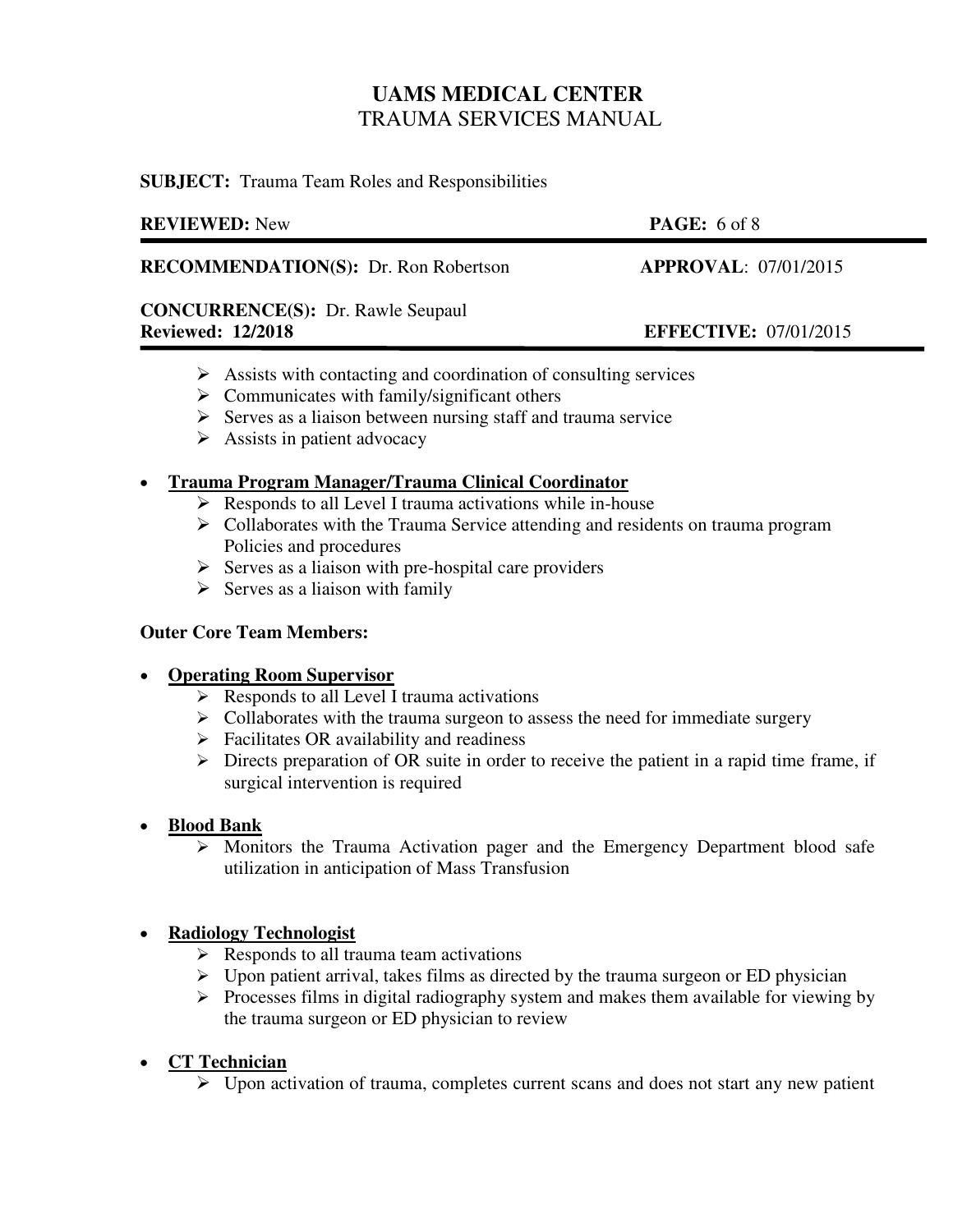**SUBJECT:** Trauma Team Roles and Responsibilities

| <b>REVIEWED:</b> New                        | <b>PAGE:</b> 6 of 8          |
|---------------------------------------------|------------------------------|
| <b>RECOMMENDATION(S):</b> Dr. Ron Robertson | <b>APPROVAL: 07/01/2015</b>  |
| <b>CONCURRENCE(S):</b> Dr. Rawle Seupaul    |                              |
| <b>Reviewed: 12/2018</b>                    | <b>EFFECTIVE: 07/01/2015</b> |
|                                             |                              |

- $\triangleright$  Assists with contacting and coordination of consulting services
- $\triangleright$  Communicates with family/significant others
- $\triangleright$  Serves as a liaison between nursing staff and trauma service
- $\triangleright$  Assists in patient advocacy

## **Trauma Program Manager/Trauma Clinical Coordinator**

- $\triangleright$  Responds to all Level I trauma activations while in-house
- $\triangleright$  Collaborates with the Trauma Service attending and residents on trauma program Policies and procedures
- $\triangleright$  Serves as a liaison with pre-hospital care providers
- $\triangleright$  Serves as a liaison with family

### **Outer Core Team Members:**

### **Operating Room Supervisor**

- $\triangleright$  Responds to all Level I trauma activations
- $\triangleright$  Collaborates with the trauma surgeon to assess the need for immediate surgery
- $\triangleright$  Facilitates OR availability and readiness
- $\triangleright$  Directs preparation of OR suite in order to receive the patient in a rapid time frame, if surgical intervention is required

## **Blood Bank**

 $\triangleright$  Monitors the Trauma Activation pager and the Emergency Department blood safe utilization in anticipation of Mass Transfusion

## **Radiology Technologist**

- $\triangleright$  Responds to all trauma team activations
- $\triangleright$  Upon patient arrival, takes films as directed by the trauma surgeon or ED physician
- $\triangleright$  Processes films in digital radiography system and makes them available for viewing by the trauma surgeon or ED physician to review

## **CT Technician**

 $\triangleright$  Upon activation of trauma, completes current scans and does not start any new patient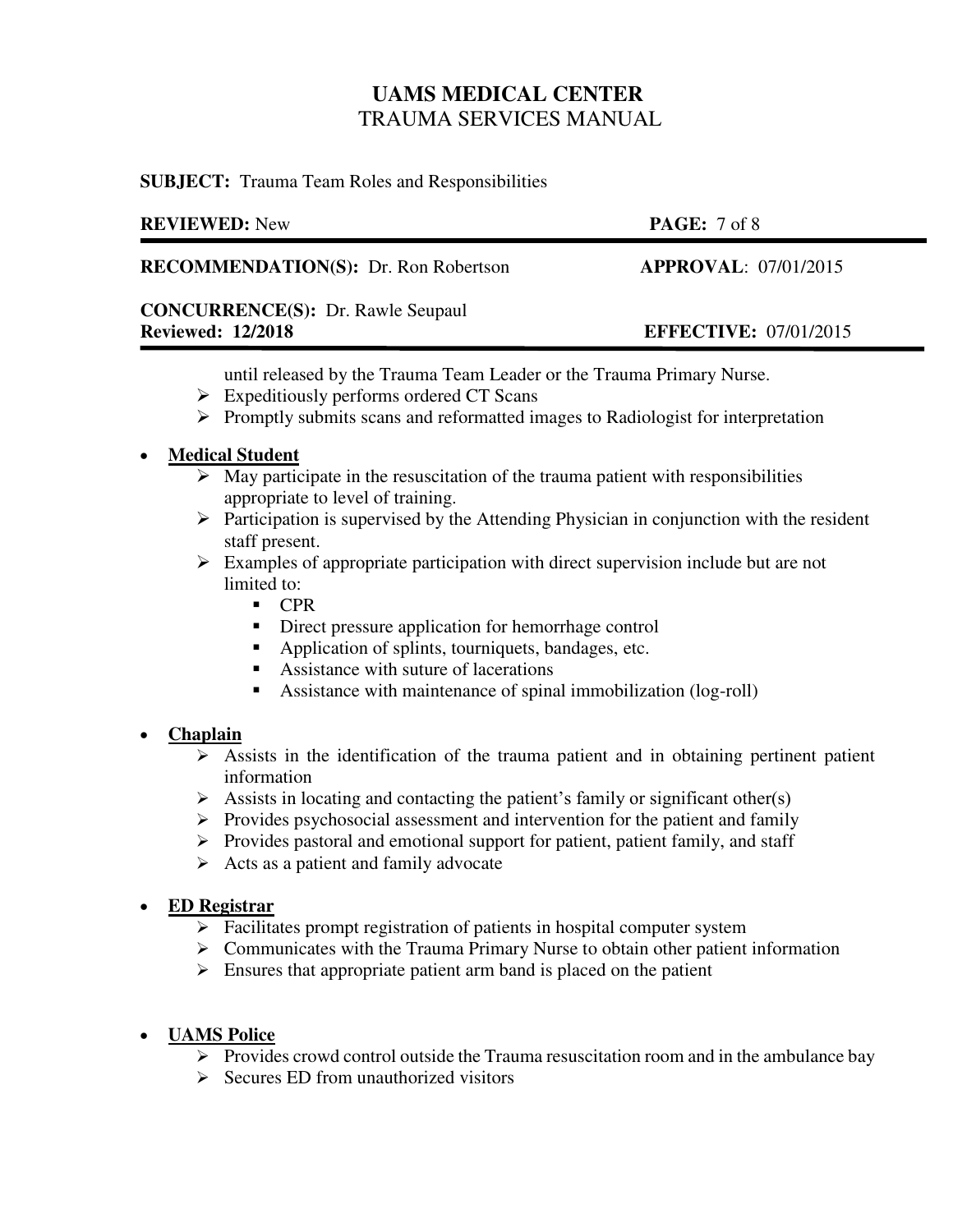**SUBJECT:** Trauma Team Roles and Responsibilities

| <b>PAGE:</b> $7 \text{ of } 8$ |
|--------------------------------|
| APPROVAL: 07/01/2015           |
|                                |
| <b>EFFECTIVE: 07/01/2015</b>   |
|                                |

until released by the Trauma Team Leader or the Trauma Primary Nurse.

- $\triangleright$  Expeditiously performs ordered CT Scans
- $\triangleright$  Promptly submits scans and reformatted images to Radiologist for interpretation

## **Medical Student**

- $\triangleright$  May participate in the resuscitation of the trauma patient with responsibilities appropriate to level of training.
- $\triangleright$  Participation is supervised by the Attending Physician in conjunction with the resident staff present.
- $\triangleright$  Examples of appropriate participation with direct supervision include but are not limited to:
	- $\blacksquare$  CPR
	- Direct pressure application for hemorrhage control
	- Application of splints, tourniquets, bandages, etc.
	- Assistance with suture of lacerations
	- Assistance with maintenance of spinal immobilization (log-roll)

## **Chaplain**

- $\triangleright$  Assists in the identification of the trauma patient and in obtaining pertinent patient information
- $\triangleright$  Assists in locating and contacting the patient's family or significant other(s)
- $\triangleright$  Provides psychosocial assessment and intervention for the patient and family
- $\triangleright$  Provides pastoral and emotional support for patient, patient family, and staff
- $\triangleright$  Acts as a patient and family advocate

## **ED Registrar**

- $\triangleright$  Facilitates prompt registration of patients in hospital computer system
- $\triangleright$  Communicates with the Trauma Primary Nurse to obtain other patient information
- $\triangleright$  Ensures that appropriate patient arm band is placed on the patient

## **UAMS Police**

- $\triangleright$  Provides crowd control outside the Trauma resuscitation room and in the ambulance bay
- $\triangleright$  Secures ED from unauthorized visitors